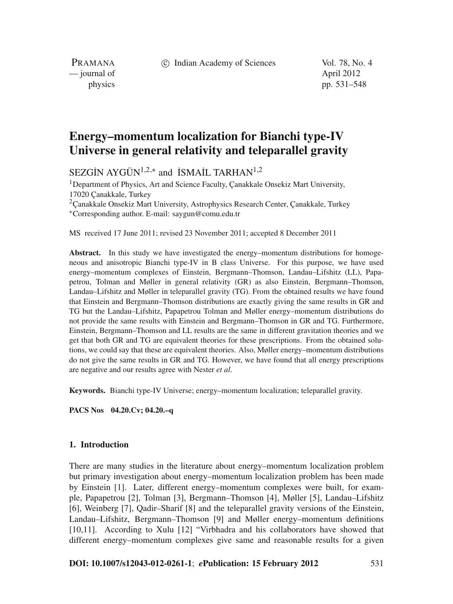c Indian Academy of Sciences Vol. 78, No. 4

PRAMANA — journal of April 2012

physics pp. 531–548

# **Energy–momentum localization for Bianchi type-IV Universe in general relativity and teleparallel gravity**

SEZGİN AYGÜN<sup>1,2,\*</sup> and **İSMAİL TARHAN<sup>1,2</sup>** 

<sup>1</sup>Department of Physics, Art and Science Faculty, Çanakkale Onsekiz Mart University, 17020 Çanakkale, Turkey

<sup>2</sup> Canakkale Onsekiz Mart University, Astrophysics Research Center, Canakkale, Turkey <sup>∗</sup>Corresponding author. E-mail: saygun@comu.edu.tr

MS received 17 June 2011; revised 23 November 2011; accepted 8 December 2011

**Abstract.** In this study we have investigated the energy–momentum distributions for homogeneous and anisotropic Bianchi type-IV in B class Universe. For this purpose, we have used energy–momentum complexes of Einstein, Bergmann–Thomson, Landau–Lifshitz (LL), Papapetrou, Tolman and Møller in general relativity (GR) as also Einstein, Bergmann–Thomson, Landau–Lifshitz and Møller in teleparallel gravity (TG). From the obtained results we have found that Einstein and Bergmann–Thomson distributions are exactly giving the same results in GR and TG but the Landau–Lifshitz, Papapetrou Tolman and Møller energy–momentum distributions do not provide the same results with Einstein and Bergmann–Thomson in GR and TG. Furthermore, Einstein, Bergmann–Thomson and LL results are the same in different gravitation theories and we get that both GR and TG are equivalent theories for these prescriptions. From the obtained solutions, we could say that these are equivalent theories. Also, Møller energy–momentum distributions do not give the same results in GR and TG. However, we have found that all energy prescriptions are negative and our results agree with Nester *et al*.

**Keywords.** Bianchi type-IV Universe; energy–momentum localization; teleparallel gravity.

**PACS Nos 04.20.Cv; 04.20.–q**

### **1. Introduction**

There are many studies in the literature about energy–momentum localization problem but primary investigation about energy–momentum localization problem has been made by Einstein [1]. Later, different energy–momentum complexes were built, for example, Papapetrou [2], Tolman [3], Bergmann–Thomson [4], Møller [5], Landau–Lifshitz [6], Weinberg [7], Qadir–Sharif [8] and the teleparallel gravity versions of the Einstein, Landau–Lifshitz, Bergmann–Thomson [9] and Møller energy–momentum definitions [10,11]. According to Xulu [12] "Virbhadra and his collaborators have showed that different energy–momentum complexes give same and reasonable results for a given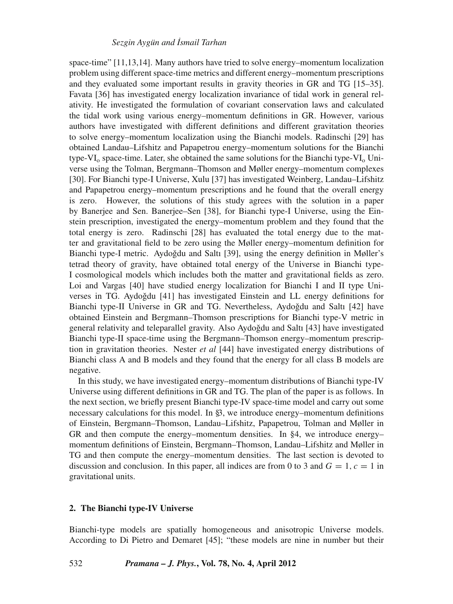## *Sezgin Aygün and ˙Ismail Tarhan*

space-time" [11,13,14]. Many authors have tried to solve energy–momentum localization problem using different space-time metrics and different energy–momentum prescriptions and they evaluated some important results in gravity theories in GR and TG [15–35]. Favata [36] has investigated energy localization invariance of tidal work in general relativity. He investigated the formulation of covariant conservation laws and calculated the tidal work using various energy–momentum definitions in GR. However, various authors have investigated with different definitions and different gravitation theories to solve energy–momentum localization using the Bianchi models. Radinschi [29] has obtained Landau–Lifshitz and Papapetrou energy–momentum solutions for the Bianchi type-VI<sub>0</sub> space-time. Later, she obtained the same solutions for the Bianchi type-VI<sub>0</sub> Universe using the Tolman, Bergmann–Thomson and Møller energy–momentum complexes [30]. For Bianchi type-I Universe, Xulu [37] has investigated Weinberg, Landau–Lifshitz and Papapetrou energy–momentum prescriptions and he found that the overall energy is zero. However, the solutions of this study agrees with the solution in a paper by Banerjee and Sen. Banerjee–Sen [38], for Bianchi type-I Universe, using the Einstein prescription, investigated the energy–momentum problem and they found that the total energy is zero. Radinschi [28] has evaluated the total energy due to the matter and gravitational field to be zero using the Møller energy–momentum definition for Bianchi type-I metric. Aydoğdu and Saltı [39], using the energy definition in Møller's tetrad theory of gravity, have obtained total energy of the Universe in Bianchi type-I cosmological models which includes both the matter and gravitational fields as zero. Loi and Vargas [40] have studied energy localization for Bianchi I and II type Universes in TG. Aydoğdu  $[41]$  has investigated Einstein and LL energy definitions for Bianchi type-II Universe in GR and TG. Nevertheless, Aydoğdu and Saltı [42] have obtained Einstein and Bergmann–Thomson prescriptions for Bianchi type-V metric in general relativity and teleparallel gravity. Also Aydoğdu and Saltı [43] have investigated Bianchi type-II space-time using the Bergmann–Thomson energy–momentum prescription in gravitation theories. Nester *et al* [44] have investigated energy distributions of Bianchi class A and B models and they found that the energy for all class B models are negative.

In this study, we have investigated energy–momentum distributions of Bianchi type-IV Universe using different definitions in GR and TG. The plan of the paper is as follows. In the next section, we briefly present Bianchi type-IV space-time model and carry out some necessary calculations for this model. In §3, we introduce energy–momentum definitions of Einstein, Bergmann–Thomson, Landau–Lifshitz, Papapetrou, Tolman and Møller in GR and then compute the energy–momentum densities. In §4, we introduce energy– momentum definitions of Einstein, Bergmann–Thomson, Landau–Lifshitz and Møller in TG and then compute the energy–momentum densities. The last section is devoted to discussion and conclusion. In this paper, all indices are from 0 to 3 and  $G = 1$ ,  $c = 1$  in gravitational units.

# **2. The Bianchi type-IV Universe**

Bianchi-type models are spatially homogeneous and anisotropic Universe models. According to Di Pietro and Demaret [45]; "these models are nine in number but their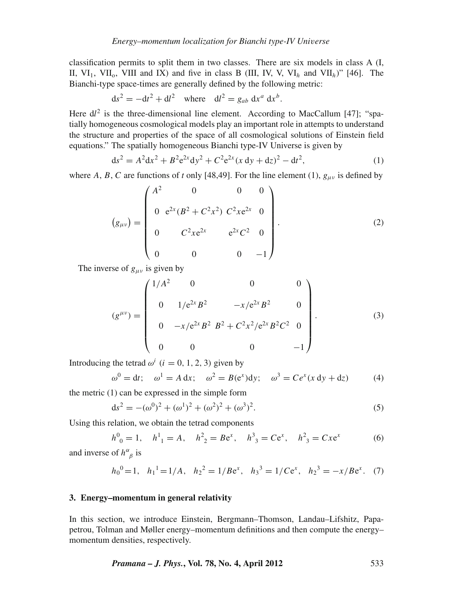classification permits to split them in two classes. There are six models in class A (I, II,  $VI_1$ ,  $VII_0$ ,  $VIII$  and IX) and five in class B (III, IV, V,  $VI_h$  and  $VII_h$ )" [46]. The Bianchi-type space-times are generally defined by the following metric:

$$
ds2 = -dt2 + dl2 \text{ where } dl2 = gab dxa dxb.
$$

Here  $dl^2$  is the three-dimensional line element. According to MacCallum [47]; "spatially homogeneous cosmological models play an important role in attempts to understand the structure and properties of the space of all cosmological solutions of Einstein field equations." The spatially homogeneous Bianchi type-IV Universe is given by

$$
ds^{2} = A^{2}dx^{2} + B^{2}e^{2x}dy^{2} + C^{2}e^{2x}(x dy + dz)^{2} - dt^{2},
$$
\n(1)

where *A*, *B*, *C* are functions of *t* only [48,49]. For the line element (1),  $g_{\mu\nu}$  is defined by

$$
(g_{\mu\nu}) = \begin{pmatrix} A^2 & 0 & 0 & 0 \\ 0 & e^{2x} (B^2 + C^2 x^2) & C^2 x e^{2x} & 0 \\ 0 & C^2 x e^{2x} & e^{2x} C^2 & 0 \\ 0 & 0 & 0 & -1 \end{pmatrix}.
$$
 (2)

The inverse of  $g_{\mu\nu}$  is given by

$$
(g^{\mu\nu}) = \begin{pmatrix} 1/A^2 & 0 & 0 & 0 \\ 0 & 1/e^{2x}B^2 & -x/e^{2x}B^2 & 0 \\ 0 & -x/e^{2x}B^2 & B^2 + C^2x^2/e^{2x}B^2C^2 & 0 \\ 0 & 0 & 0 & -1 \end{pmatrix}.
$$
 (3)

Introducing the tetrad  $\omega^i$  (*i* = 0, 1, 2, 3) given by

$$
\omega^0 = dt; \quad \omega^1 = A dx; \quad \omega^2 = B(e^x)dy; \quad \omega^3 = Ce^x(x dy + dz)
$$
 (4)

the metric (1) can be expressed in the simple form

$$
ds^{2} = -(\omega^{0})^{2} + (\omega^{1})^{2} + (\omega^{2})^{2} + (\omega^{3})^{2}.
$$
\n(5)

Using this relation, we obtain the tetrad components

$$
h^0_{\ \,0} = 1
$$
,  $h^1_{\ \,1} = A$ ,  $h^2_{\ \,2} = Be^x$ ,  $h^3_{\ \,3} = Ce^x$ ,  $h^2_{\ \,3} = Cxe^x$  (6)

and inverse of  $h^{\alpha}_{\ \beta}$  is

$$
h_0^0 = 1
$$
,  $h_1^1 = 1/A$ ,  $h_2^2 = 1/Be^x$ ,  $h_3^3 = 1/Ce^x$ ,  $h_2^3 = -x/Be^x$ . (7)

### **3. Energy–momentum in general relativity**

In this section, we introduce Einstein, Bergmann–Thomson, Landau–Lifshitz, Papapetrou, Tolman and Møller energy–momentum definitions and then compute the energy– momentum densities, respectively.

*Pramana – J. Phys.***, Vol. 78, No. 4, April 2012** 533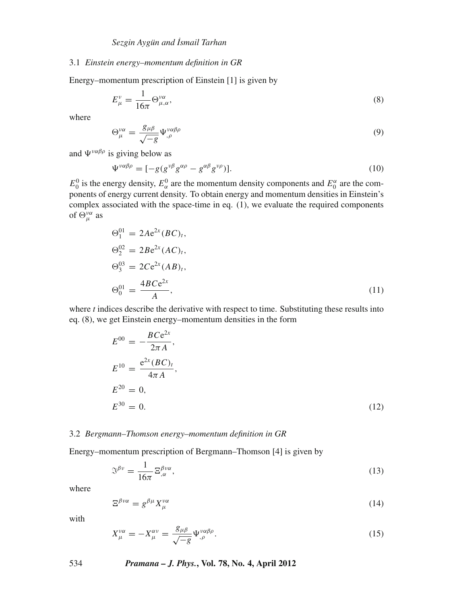### 3.1 *Einstein energy–momentum definition in GR*

Energy–momentum prescription of Einstein [1] is given by

$$
E^{\nu}_{\mu} = \frac{1}{16\pi} \Theta^{\nu\alpha}_{\mu,\alpha},\tag{8}
$$

where

$$
\Theta_{\mu}^{\nu\alpha} = \frac{g_{\mu\beta}}{\sqrt{-g}} \Psi_{,\rho}^{\nu\alpha\beta\rho} \tag{9}
$$

and  $\Psi^{\nu\alpha\beta\rho}$  is giving below as

$$
\Psi^{\nu\alpha\beta\rho} = [-g(g^{\nu\beta}g^{\alpha\rho} - g^{\alpha\beta}g^{\nu\rho})].
$$
\n(10)

 $E_0^0$  is the energy density,  $E_\alpha^0$  are the momentum density components and  $E_0^\alpha$  are the components of energy current density. To obtain energy and momentum densities in Einstein's complex associated with the space-time in eq. (1), we evaluate the required components of  $\Theta_{\mu}^{\nu\alpha}$  as

$$
\Theta_1^{01} = 2Ae^{2x} (BC)_t, \n\Theta_2^{02} = 2Be^{2x} (AC)_t, \n\Theta_3^{03} = 2Ce^{2x} (AB)_t, \n\Theta_0^{01} = \frac{4BCe^{2x}}{A},
$$
\n(11)

where *t* indices describe the derivative with respect to time. Substituting these results into eq. (8), we get Einstein energy–momentum densities in the form

$$
E^{00} = -\frac{BCe^{2x}}{2\pi A},
$$
  
\n
$$
E^{10} = \frac{e^{2x}(BC)_t}{4\pi A},
$$
  
\n
$$
E^{20} = 0,
$$
  
\n
$$
E^{30} = 0.
$$
\n(12)

### 3.2 *Bergmann–Thomson energy–momentum definition in GR*

Energy–momentum prescription of Bergmann–Thomson [4] is given by

$$
\mathbb{S}^{\beta\nu} = \frac{1}{16\pi} \, \Xi^{\beta\nu\alpha}_{,\alpha},\tag{13}
$$

where

$$
\Xi^{\beta\nu\alpha} = g^{\beta\mu} X^{\nu\alpha}_{\mu} \tag{14}
$$

with

$$
X_{\mu}^{\nu\alpha} = -X_{\mu}^{\alpha\nu} = \frac{g_{\mu\beta}}{\sqrt{-g}} \Psi_{,\rho}^{\nu\alpha\beta\rho}.
$$
 (15)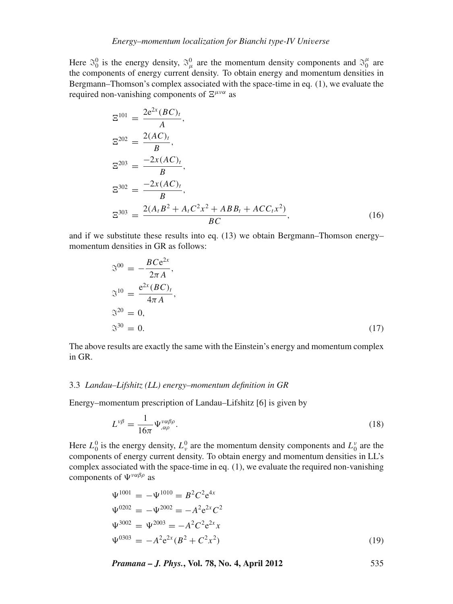Here  $\mathfrak{S}_0^0$  is the energy density,  $\mathfrak{S}_{\mu}^0$  are the momentum density components and  $\mathfrak{S}_0^{\mu}$  are the components of energy current density. To obtain energy and momentum densities in Bergmann–Thomson's complex associated with the space-time in eq. (1), we evaluate the required non-vanishing components of  $\Xi^{\mu\nu\alpha}$  as

$$
\Xi^{101} = \frac{2e^{2x}(BC)_t}{A},
$$
  
\n
$$
\Xi^{202} = \frac{2(AC)_t}{B},
$$
  
\n
$$
\Xi^{203} = \frac{-2x(AC)_t}{B},
$$
  
\n
$$
\Xi^{302} = \frac{-2x(AC)_t}{B},
$$
  
\n
$$
\Xi^{303} = \frac{2(A_tB^2 + A_tC^2x^2 + ABB_t + ACC_tx^2)}{BC},
$$
\n(16)

and if we substitute these results into eq. (13) we obtain Bergmann–Thomson energy– momentum densities in GR as follows:

$$
\mathfrak{S}^{00} = -\frac{BCe^{2x}}{2\pi A},
$$
  
\n
$$
\mathfrak{S}^{10} = \frac{e^{2x}(BC)_t}{4\pi A},
$$
  
\n
$$
\mathfrak{S}^{20} = 0,
$$
  
\n
$$
\mathfrak{S}^{30} = 0.
$$
\n(17)

The above results are exactly the same with the Einstein's energy and momentum complex in GR.

## 3.3 *Landau–Lifshitz (LL) energy–momentum definition in GR*

Energy–momentum prescription of Landau–Lifshitz [6] is given by

$$
L^{\nu\beta} = \frac{1}{16\pi} \Psi_{,\alpha\rho}^{\nu\alpha\beta\rho}.
$$
 (18)

Here  $L_0^0$  is the energy density,  $L_v^0$  are the momentum density components and  $L_v^v$  are the components of energy current density. To obtain energy and momentum densities in LL's complex associated with the space-time in eq. (1), we evaluate the required non-vanishing components of  $\Psi^{\nu\alpha\beta\rho}$  as

$$
\Psi^{1001} = -\Psi^{1010} = B^2 C^2 e^{4x}
$$
  
\n
$$
\Psi^{0202} = -\Psi^{2002} = -A^2 e^{2x} C^2
$$
  
\n
$$
\Psi^{3002} = \Psi^{2003} = -A^2 C^2 e^{2x} x
$$
  
\n
$$
\Psi^{0303} = -A^2 e^{2x} (B^2 + C^2 x^2)
$$
\n(19)

*Pramana – J. Phys.***, Vol. 78, No. 4, April 2012** 535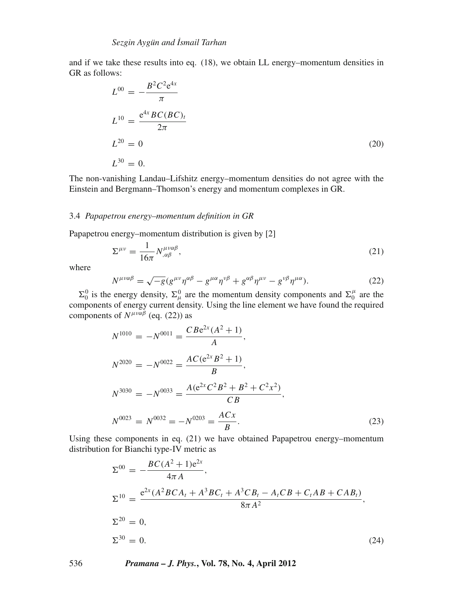and if we take these results into eq. (18), we obtain LL energy–momentum densities in GR as follows:

$$
L^{00} = -\frac{B^2 C^2 e^{4x}}{\pi}
$$
  
\n
$$
L^{10} = \frac{e^{4x} BC(BC)_t}{2\pi}
$$
  
\n
$$
L^{20} = 0
$$
  
\n
$$
L^{30} = 0.
$$
\n(20)

The non-vanishing Landau–Lifshitz energy–momentum densities do not agree with the Einstein and Bergmann–Thomson's energy and momentum complexes in GR.

#### 3.4 *Papapetrou energy–momentum definition in GR*

Papapetrou energy–momentum distribution is given by [2]

$$
\Sigma^{\mu\nu} = \frac{1}{16\pi} N^{\mu\nu\alpha\beta}_{,\alpha\beta},\tag{21}
$$

where

$$
N^{\mu\nu\alpha\beta} = \sqrt{-g} (g^{\mu\nu}\eta^{\alpha\beta} - g^{\mu\alpha}\eta^{\nu\beta} + g^{\alpha\beta}\eta^{\mu\nu} - g^{\nu\beta}\eta^{\mu\alpha}).
$$
 (22)

 $\Sigma_0^0$  is the energy density,  $\Sigma_\mu^0$  are the momentum density components and  $\Sigma_0^\mu$  are the components of energy current density. Using the line element we have found the required components of  $N^{\mu\nu\alpha\beta}$  (eq. (22)) as

$$
N^{1010} = -N^{0011} = \frac{CBe^{2x}(A^2 + 1)}{A},
$$
  
\n
$$
N^{2020} = -N^{0022} = \frac{AC(e^{2x}B^2 + 1)}{B},
$$
  
\n
$$
N^{3030} = -N^{0033} = \frac{A(e^{2x}C^2B^2 + B^2 + C^2x^2)}{CB},
$$
  
\n
$$
N^{0023} = N^{0032} = -N^{0203} = \frac{ACx}{B}.
$$
\n(23)

Using these components in eq. (21) we have obtained Papapetrou energy–momentum distribution for Bianchi type-IV metric as

$$
\Sigma^{00} = -\frac{BC(A^2 + 1)e^{2x}}{4\pi A},
$$
  
\n
$$
\Sigma^{10} = \frac{e^{2x}(A^2BCA_t + A^3BC_t + A^3CB_t - A_tCB + C_tAB + CAB_t)}{8\pi A^2},
$$
  
\n
$$
\Sigma^{20} = 0,
$$
  
\n
$$
\Sigma^{30} = 0.
$$
\n(24)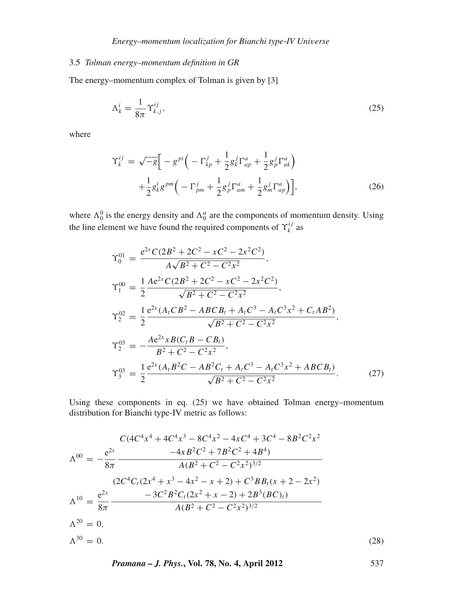# 3.5 *Tolman energy–momentum definition in GR*

The energy–momentum complex of Tolman is given by [3]

$$
\Lambda_k^i = \frac{1}{8\pi} \Upsilon_{k,j}^{ij},\tag{25}
$$

where

$$
\Upsilon_k^{ij} = \sqrt{-g} \Big[ -g^{\,pi} \Big( -\Gamma_{kp}^j + \frac{1}{2} g_k^j \Gamma_{ap}^a + \frac{1}{2} g_p^j \Gamma_{ak}^a \Big) + \frac{1}{2} g_k^i g^{\,pm} \Big( -\Gamma_{pm}^j + \frac{1}{2} g_p^j \Gamma_{am}^a + \frac{1}{2} g_m^j \Gamma_{ap}^a \Big) \Big], \tag{26}
$$

where  $\Lambda_0^0$  is the energy density and  $\Lambda_0^{\alpha}$  are the components of momentum density. Using the line element we have found the required components of  $\Upsilon_k^{ij}$  as

$$
\begin{split}\n\Upsilon_{0}^{01} &= \frac{e^{2x}C(2B^{2} + 2C^{2} - xC^{2} - 2x^{2}C^{2})}{A\sqrt{B^{2} + C^{2} - C^{2}x^{2}}}, \\
\Upsilon_{1}^{00} &= \frac{1}{2}\frac{Ae^{2x}C(2B^{2} + 2C^{2} - xC^{2} - 2x^{2}C^{2})}{\sqrt{B^{2} + C^{2} - C^{2}x^{2}}}, \\
\Upsilon_{2}^{02} &= \frac{1}{2}\frac{e^{2x}(A_{t}CB^{2} - ABCB_{t} + A_{t}C^{3} - A_{t}C^{3}x^{2} + C_{t}AB^{2})}{\sqrt{B^{2} + C^{2} - C^{2}x^{2}}}, \\
\Upsilon_{2}^{03} &= -\frac{Ae^{2x}xB(C_{t}B - CB_{t})}{B^{2} + C^{2} - C^{2}x^{2}}, \\
\Upsilon_{3}^{03} &= \frac{1}{2}\frac{e^{2x}(A_{t}B^{2}C - AB^{2}C_{t} + A_{t}C^{3} - A_{t}C^{3}x^{2} + ABCB_{t})}{\sqrt{B^{2} + C^{2} - C^{2}x^{2}}}. \n\end{split} \tag{27}
$$

Using these components in eq. (25) we have obtained Tolman energy–momentum distribution for Bianchi type-IV metric as follows:

$$
C(4C^{4}x^{4} + 4C^{4}x^{3} - 8C^{4}x^{2} - 4xC^{4} + 3C^{4} - 8B^{2}C^{2}x^{2}
$$
  
\n
$$
\Lambda^{00} = -\frac{e^{2x}}{8\pi} \frac{-4xB^{2}C^{2} + 7B^{2}C^{2} + 4B^{4})}{A(B^{2} + C^{2} - C^{2}x^{2})^{3/2}}
$$
  
\n
$$
\Lambda^{10} = \frac{e^{2x}}{8\pi} \frac{-3C^{2}B^{2}C_{t}(2x^{2} + x - 2) + C^{3}BB_{t}(x + 2 - 2x^{2})}{A(B^{2} + C^{2} - C^{2}x^{2})^{3/2}}
$$
  
\n
$$
\Lambda^{20} = 0,
$$
  
\n
$$
\Lambda^{30} = 0.
$$
  
\n
$$
\Lambda^{30} = 0.
$$
  
\n(28)

*Pramana – J. Phys.***, Vol. 78, No. 4, April 2012** 537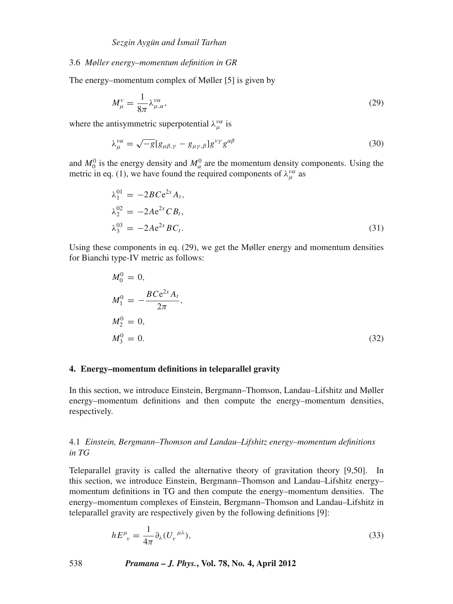## 3.6 *Møller energy–momentum definition in GR*

The energy–momentum complex of Møller [5] is given by

$$
M^{\nu}_{\mu} = \frac{1}{8\pi} \lambda^{\nu\alpha}_{\mu,\alpha},\tag{29}
$$

where the antisymmetric superpotential  $\lambda_{\mu}^{\nu\alpha}$  is

$$
\lambda_{\mu}^{\nu\alpha} = \sqrt{-g} [g_{\mu\beta,\gamma} - g_{\mu\gamma,\beta}] g^{\nu\gamma} g^{\alpha\beta} \tag{30}
$$

and  $M_0^0$  is the energy density and  $M_\alpha^0$  are the momentum density components. Using the metric in eq. (1), we have found the required components of  $\lambda_{\mu}^{\nu\alpha}$  as

$$
\lambda_1^{01} = -2BCe^{2x} A_t,\n\lambda_2^{02} = -2Ae^{2x} C B_t,\n\lambda_3^{03} = -2Ae^{2x} BC_t.
$$
\n(31)

Using these components in eq. (29), we get the Møller energy and momentum densities for Bianchi type-IV metric as follows:

$$
M_0^0 = 0,
$$
  
\n
$$
M_1^0 = -\frac{BCe^{2x}A_t}{2\pi},
$$
  
\n
$$
M_2^0 = 0,
$$
  
\n
$$
M_3^0 = 0.
$$
\n(32)

### **4. Energy–momentum definitions in teleparallel gravity**

In this section, we introduce Einstein, Bergmann–Thomson, Landau–Lifshitz and Møller energy–momentum definitions and then compute the energy–momentum densities, respectively.

# 4.1 *Einstein, Bergmann–Thomson and Landau–Lifshitz energy–momentum definitions in TG*

Teleparallel gravity is called the alternative theory of gravitation theory [9,50]. In this section, we introduce Einstein, Bergmann–Thomson and Landau–Lifshitz energy– momentum definitions in TG and then compute the energy–momentum densities. The energy–momentum complexes of Einstein, Bergmann–Thomson and Landau–Lifshitz in teleparallel gravity are respectively given by the following definitions [9]:

$$
hE^{\mu}_{\ \nu} = \frac{1}{4\pi} \partial_{\lambda} (U_{\nu}^{\ \mu\lambda}), \tag{33}
$$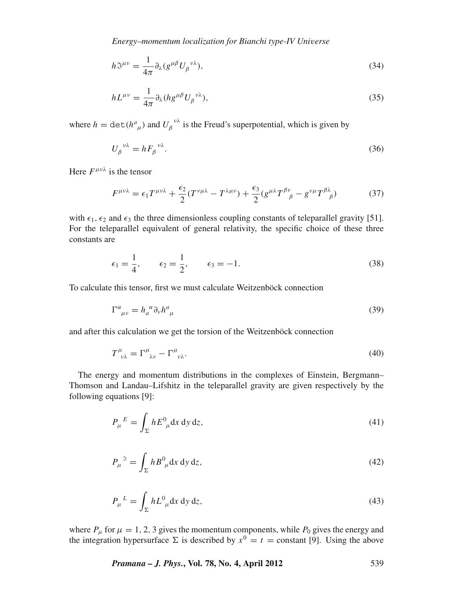*Energy–momentum localization for Bianchi type-IV Uni*v*erse*

$$
h\mathbb{S}^{\mu\nu} = \frac{1}{4\pi} \partial_{\lambda} (g^{\mu\beta} U_{\beta}^{\ \nu\lambda}),\tag{34}
$$

$$
hL^{\mu\nu} = \frac{1}{4\pi} \partial_{\lambda} (h g^{\mu\beta} U_{\beta}^{\ \nu\lambda}),\tag{35}
$$

where  $h = \det(h^a{}_\mu)$  and  $U_\beta{}^{\nu\lambda}$  is the Freud's superpotential, which is given by

$$
U_{\beta}^{\ \nu\lambda} = hF_{\beta}^{\ \nu\lambda}.\tag{36}
$$

Here  $F^{\mu\nu\lambda}$  is the tensor

$$
F^{\mu\nu\lambda} = \epsilon_1 T^{\mu\nu\lambda} + \frac{\epsilon_2}{2} (T^{\nu\mu\lambda} - T^{\lambda\mu\nu}) + \frac{\epsilon_3}{2} (g^{\mu\lambda} T^{\beta\nu}_{\ \beta} - g^{\nu\mu} T^{\beta\lambda}_{\ \beta}) \tag{37}
$$

with  $\epsilon_1, \epsilon_2$  and  $\epsilon_3$  the three dimensionless coupling constants of teleparallel gravity [51]. For the teleparallel equivalent of general relativity, the specific choice of these three constants are

$$
\epsilon_1 = \frac{1}{4}, \qquad \epsilon_2 = \frac{1}{2}, \qquad \epsilon_3 = -1.
$$
\n(38)

To calculate this tensor, first we must calculate Weitzenböck connection

$$
\Gamma^{\alpha}{}_{\mu\nu} = h_{a}{}^{\alpha} \partial_{\nu} h^{a}{}_{\mu} \tag{39}
$$

and after this calculation we get the torsion of the Weitzenböck connection

$$
T^{\mu}_{\ \nu\lambda} = \Gamma^{\mu}_{\ \lambda\nu} - \Gamma^{\mu}_{\ \nu\lambda}.\tag{40}
$$

The energy and momentum distributions in the complexes of Einstein, Bergmann– Thomson and Landau–Lifshitz in the teleparallel gravity are given respectively by the following equations [9]:

$$
P_{\mu}{}^{E} = \int_{\Sigma} h E^{0}{}_{\mu} \mathrm{d}x \, \mathrm{d}y \, \mathrm{d}z,\tag{41}
$$

$$
P_{\mu}^{\quad \beta} = \int_{\Sigma} h B^0_{\ \mu} \mathrm{d}x \, \mathrm{d}y \, \mathrm{d}z,\tag{42}
$$

$$
P_{\mu}{}^{L} = \int_{\Sigma} h L^{0}{}_{\mu} \mathrm{d}x \, \mathrm{d}y \, \mathrm{d}z,\tag{43}
$$

where  $P_{\mu}$  for  $\mu = 1, 2, 3$  gives the momentum components, while  $P_0$  gives the energy and the integration hypersurface  $\Sigma$  is described by  $x^0 = t =$  constant [9]. Using the above

*Pramana – J. Phys.***, Vol. 78, No. 4, April 2012** 539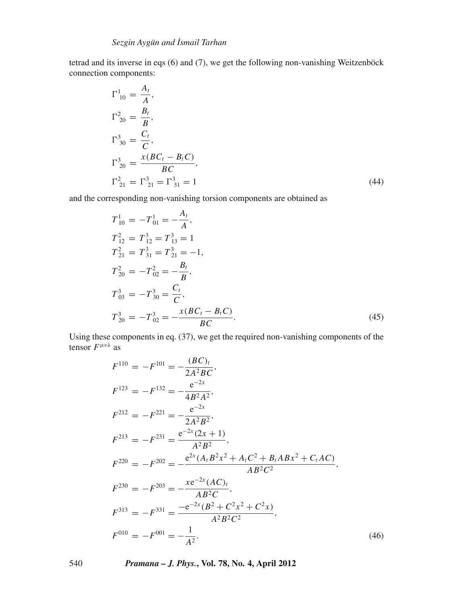tetrad and its inverse in eqs (6) and (7), we get the following non-vanishing Weitzenböck connection components:

$$
\Gamma^{1}_{10} = \frac{A_t}{A},
$$
\n
$$
\Gamma^{2}_{20} = \frac{B_t}{B},
$$
\n
$$
\Gamma^{3}_{30} = \frac{C_t}{C},
$$
\n
$$
\Gamma^{3}_{20} = \frac{x(BC_t - B_t C)}{BC},
$$
\n
$$
\Gamma^{2}_{21} = \Gamma^{3}_{21} = \Gamma^{3}_{31} = 1
$$
\n(44)

and the corresponding non-vanishing torsion components are obtained as

$$
T_{10}^{1} = -T_{01}^{1} = -\frac{A_{t}}{A},
$$
  
\n
$$
T_{12}^{2} = T_{12}^{3} = T_{13}^{3} = 1
$$
  
\n
$$
T_{21}^{2} = T_{31}^{3} = T_{21}^{3} = -1,
$$
  
\n
$$
T_{20}^{2} = -T_{02}^{2} = -\frac{B_{t}}{B},
$$
  
\n
$$
T_{03}^{3} = -T_{30}^{3} = \frac{C_{t}}{C},
$$
  
\n
$$
T_{20}^{3} = -T_{02}^{3} = -\frac{x(BC_{t} - B_{t}C)}{BC}.
$$
\n(45)

Using these components in eq. (37), we get the required non-vanishing components of the tensor  $F^{\mu\nu\lambda}$  as

$$
F^{110} = -F^{101} = -\frac{(BC)_t}{2A^2BC},
$$
  
\n
$$
F^{123} = -F^{132} = -\frac{e^{-2x}}{4B^2A^2},
$$
  
\n
$$
F^{212} = -F^{221} = -\frac{e^{-2x}}{2A^2B^2},
$$
  
\n
$$
F^{213} = -F^{231} = \frac{e^{-2x}(2x+1)}{A^2B^2},
$$
  
\n
$$
F^{220} = -F^{202} = -\frac{e^{2x}(A_tB^2x^2 + A_tC^2 + B_tABx^2 + C_tAC)}{AB^2C^2},
$$
  
\n
$$
F^{230} = -F^{203} = -\frac{xe^{-2x}(AC)_t}{AB^2C},
$$
  
\n
$$
F^{313} = -F^{331} = \frac{-e^{-2x}(B^2 + C^2x^2 + C^2x)}{A^2B^2C^2},
$$
  
\n
$$
F^{010} = -F^{001} = -\frac{1}{A^2}.
$$
  
\n(46)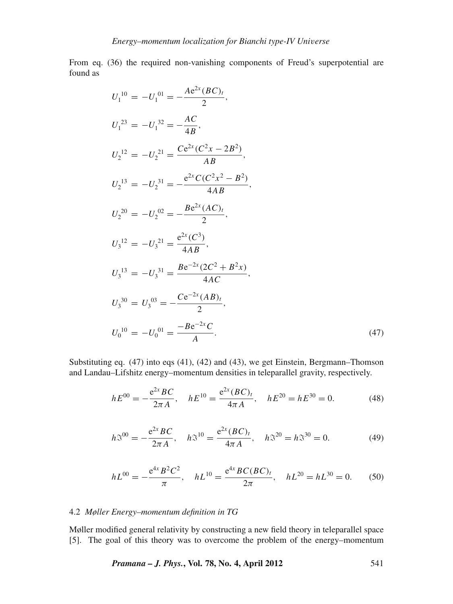From eq. (36) the required non-vanishing components of Freud's superpotential are found as

$$
U_1^{10} = -U_1^{01} = -\frac{Ae^{2x}(BC)_t}{2},
$$
  
\n
$$
U_1^{23} = -U_1^{32} = -\frac{AC}{4B},
$$
  
\n
$$
U_2^{12} = -U_2^{21} = \frac{Ce^{2x}(C^2x - 2B^2)}{AB},
$$
  
\n
$$
U_2^{13} = -U_2^{31} = -\frac{e^{2x}C(C^2x^2 - B^2)}{4AB},
$$
  
\n
$$
U_2^{20} = -U_2^{02} = -\frac{Be^{2x}(AC)_t}{2},
$$
  
\n
$$
U_3^{12} = -U_3^{21} = \frac{e^{2x}(C^3)}{4AB},
$$
  
\n
$$
U_3^{13} = -U_3^{31} = \frac{Be^{-2x}(2C^2 + B^2x)}{4AC},
$$
  
\n
$$
U_3^{30} = U_3^{03} = -\frac{Ce^{-2x}(AB)_t}{2},
$$
  
\n
$$
U_0^{10} = -U_0^{01} = \frac{-Be^{-2x}C}{A}.
$$
  
\n(47)

Substituting eq. (47) into eqs (41), (42) and (43), we get Einstein, Bergmann–Thomson and Landau–Lifshitz energy–momentum densities in teleparallel gravity, respectively.

$$
hE^{00} = -\frac{e^{2x}BC}{2\pi A}, \quad hE^{10} = \frac{e^{2x}(BC)_t}{4\pi A}, \quad hE^{20} = hE^{30} = 0.
$$
 (48)

$$
h\mathfrak{I}^{00} = -\frac{e^{2x}BC}{2\pi A}, \quad h\mathfrak{I}^{10} = \frac{e^{2x}(BC)_t}{4\pi A}, \quad h\mathfrak{I}^{20} = h\mathfrak{I}^{30} = 0. \tag{49}
$$

$$
hL^{00} = -\frac{e^{4x}B^2C^2}{\pi}, \quad hL^{10} = \frac{e^{4x}BC(BC)_t}{2\pi}, \quad hL^{20} = hL^{30} = 0. \tag{50}
$$

# 4.2 *Møller Energy–momentum definition in TG*

Møller modified general relativity by constructing a new field theory in teleparallel space [5]. The goal of this theory was to overcome the problem of the energy–momentum

*Pramana – J. Phys.***, Vol. 78, No. 4, April 2012** 541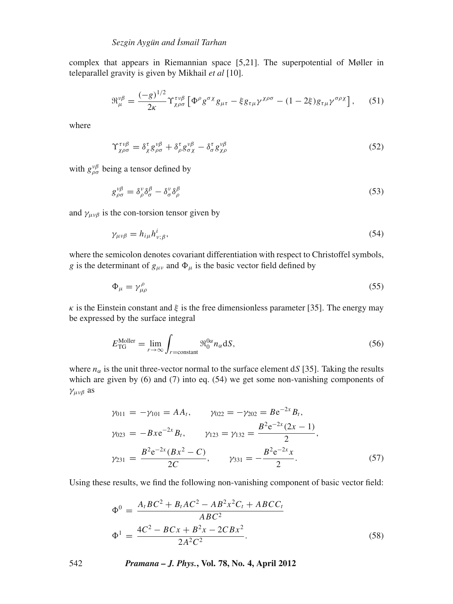complex that appears in Riemannian space [5,21]. The superpotential of Møller in teleparallel gravity is given by Mikhail *et al* [10].

$$
\mathfrak{R}_{\mu}^{\nu\beta} = \frac{(-g)^{1/2}}{2\kappa} \Upsilon_{\chi\rho\sigma}^{\tau\nu\beta} \left[ \Phi^{\rho} g^{\sigma\chi} g_{\mu\tau} - \xi g_{\tau\mu} \gamma^{\chi\rho\sigma} - (1 - 2\xi) g_{\tau\mu} \gamma^{\sigma\rho\chi} \right], \quad (51)
$$

where

$$
\Upsilon^{\tau\nu\beta}_{\chi\rho\sigma} = \delta^{\tau}_{\chi} g^{\nu\beta}_{\rho\sigma} + \delta^{\tau}_{\rho} g^{\nu\beta}_{\sigma\chi} - \delta^{\tau}_{\sigma} g^{\nu\beta}_{\chi\rho} \tag{52}
$$

with  $g_{\rho\sigma}^{\nu\beta}$  being a tensor defined by

$$
g^{\nu\beta}_{\rho\sigma} = \delta^{\nu}_{\rho}\delta^{\beta}_{\sigma} - \delta^{\nu}_{\sigma}\delta^{\beta}_{\rho} \tag{53}
$$

and  $\gamma_{\mu\nu\beta}$  is the con-torsion tensor given by

$$
\gamma_{\mu\nu\beta} = h_{i\mu} h_{\nu;\beta}^i,\tag{54}
$$

where the semicolon denotes covariant differentiation with respect to Christoffel symbols, *g* is the determinant of  $g_{\mu\nu}$  and  $\Phi_{\mu}$  is the basic vector field defined by

$$
\Phi_{\mu} = \gamma^{\rho}_{\mu\rho} \tag{55}
$$

 $\kappa$  is the Einstein constant and  $\xi$  is the free dimensionless parameter [35]. The energy may be expressed by the surface integral

$$
E_{\rm TG}^{\rm Moller} = \lim_{r \to \infty} \int_{r = \text{constant}} \Re_0^{\rm 0\alpha} n_{\alpha} \, \mathrm{d}S,\tag{56}
$$

where  $n_{\alpha}$  is the unit three-vector normal to the surface element d*S* [35]. Taking the results which are given by (6) and (7) into eq. (54) we get some non-vanishing components of γμνβ as

$$
\gamma_{011} = -\gamma_{101} = AA_t, \qquad \gamma_{022} = -\gamma_{202} = Be^{-2x}B_t,
$$
  
\n
$$
\gamma_{023} = -Bxe^{-2x}B_t, \qquad \gamma_{123} = \gamma_{132} = \frac{B^2e^{-2x}(2x - 1)}{2},
$$
  
\n
$$
\gamma_{231} = \frac{B^2e^{-2x}(Bx^2 - C)}{2C}, \qquad \gamma_{331} = -\frac{B^2e^{-2x}x}{2}.
$$
\n(57)

Using these results, we find the following non-vanishing component of basic vector field:

$$
\Phi^{0} = \frac{A_{t}BC^{2} + B_{t}AC^{2} - AB^{2}x^{2}C_{t} + ABCC_{t}}{ABC^{2}}
$$

$$
\Phi^{1} = \frac{4C^{2} - BCx + B^{2}x - 2CBx^{2}}{2A^{2}C^{2}}.
$$
(58)

542 *Pramana – J. Phys.***, Vol. 78, No. 4, April 2012**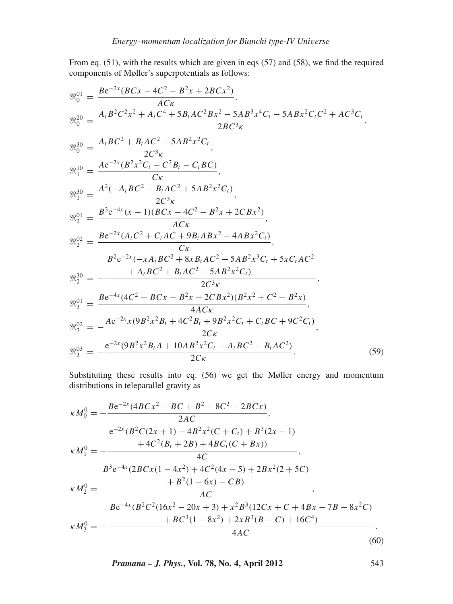From eq. (51), with the results which are given in eqs (57) and (58), we find the required components of Møller's superpotentials as follows:

$$
\mathfrak{R}_{0}^{01} = \frac{Be^{-2x}(BCx - 4C^{2} - B^{2}x + 2BCx^{2})}{ACx},
$$
  
\n
$$
\mathfrak{R}_{0}^{20} = \frac{A_{t}B^{2}C^{2}x^{2} + A_{t}C^{4} + 5B_{t}AC^{2}Bx^{2} - 5AB^{3}x^{4}C_{t} - 5ABx^{2}C_{t}C^{2} + AC^{3}C_{t}}{2BC^{3}\kappa},
$$
  
\n
$$
\mathfrak{R}_{0}^{30} = \frac{A_{t}BC^{2} + B_{t}AC^{2} - 5AB^{2}x^{2}C_{t}}{2C^{3}\kappa},
$$
  
\n
$$
\mathfrak{R}_{1}^{10} = \frac{Ae^{-2x}(B^{2}x^{2}C_{t} - C^{2}B_{t} - C_{t}BC)}{C\kappa},
$$
  
\n
$$
\mathfrak{R}_{1}^{30} = \frac{A^{2}(-A_{t}BC^{2} - B_{t}AC^{2} + 5AB^{2}x^{2}C_{t})}{2C^{3}\kappa},
$$
  
\n
$$
\mathfrak{R}_{2}^{01} = \frac{B^{3}e^{-4x}(x - 1)(BCx - 4C^{2} - B^{2}x + 2CBx^{2})}{ACx},
$$
  
\n
$$
\mathfrak{R}_{2}^{02} = \frac{Be^{-2x}(A_{t}C^{2} + C_{t}AC + 9B_{t}ABx^{2} + 4ABx^{2}C_{t})}{C\kappa},
$$
  
\n
$$
B^{2}e^{-2x}(-xA_{t}BC^{2} + 8xB_{t}AC^{2} + 5AB^{2}x^{3}C_{t} + 5xC_{t}AC^{2}
$$
  
\n
$$
\mathfrak{R}_{2}^{30} = -\frac{+A_{t}BC^{2} + B_{t}AC^{2} - 5AB^{2}x^{2}C_{t})}{2C^{3}\kappa},
$$
  
\n
$$
\mathfrak{R}_{3}^{01} = \frac{Be^{-4x}(4C^{2} - BCx + B^{2}x - 2CBx^{2})(B^{2}x^{2} + C^{2} - B^{2}x)}{4ACx},
$$
  
\n
$$
\mathfrak{R}_{
$$

Substituting these results into eq. (56) we get the Møller energy and momentum distributions in teleparallel gravity as

$$
\kappa M_0^0 = -\frac{B e^{-2x} (4BCx^2 - BC + B^2 - 8C^2 - 2BCx)}{2AC},
$$
  
\n
$$
e^{-2x} (B^2 C (2x + 1) - 4B^2 x^2 (C + C_t) + B^3 (2x - 1))
$$
  
\n
$$
\kappa M_1^0 = -\frac{+ 4C^2 (B_t + 2B) + 4BC_t (C + Bx))}{4C},
$$
  
\n
$$
B^3 e^{-4x} (2BCx (1 - 4x^2) + 4C^2 (4x - 5) + 2Bx^2 (2 + 5C))
$$
  
\n
$$
\kappa M_2^0 = \frac{+ B^2 (1 - 6x) - CB}{4C},
$$
  
\n
$$
B e^{-4x} (B^2 C^2 (16x^2 - 20x + 3) + x^2 B^3 (12Cx + C + 4Bx - 7B - 8x^2 C)) + BC^3 (1 - 8x^2) + 2xB^3 (B - C) + 16C^4).
$$
  
\n
$$
\kappa M_3^0 = -\frac{+ BC^3 (1 - 8x^2) + 2xB^3 (B - C) + 16C^4)}{4AC}.
$$
  
\n(60)

*Pramana – J. Phys.***, Vol. 78, No. 4, April 2012** 543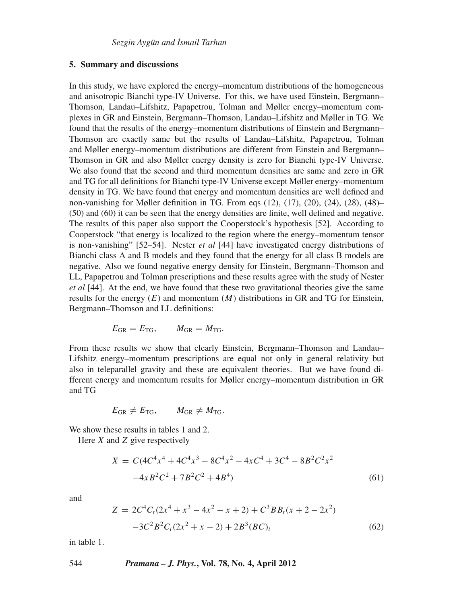# **5. Summary and discussions**

In this study, we have explored the energy–momentum distributions of the homogeneous and anisotropic Bianchi type-IV Universe. For this, we have used Einstein, Bergmann– Thomson, Landau–Lifshitz, Papapetrou, Tolman and Møller energy–momentum complexes in GR and Einstein, Bergmann–Thomson, Landau–Lifshitz and Møller in TG. We found that the results of the energy–momentum distributions of Einstein and Bergmann– Thomson are exactly same but the results of Landau–Lifshitz, Papapetrou, Tolman and Møller energy–momentum distributions are different from Einstein and Bergmann– Thomson in GR and also Møller energy density is zero for Bianchi type-IV Universe. We also found that the second and third momentum densities are same and zero in GR and TG for all definitions for Bianchi type-IV Universe except Møller energy–momentum density in TG. We have found that energy and momentum densities are well defined and non-vanishing for Møller definition in TG. From eqs (12), (17), (20), (24), (28), (48)– (50) and (60) it can be seen that the energy densities are finite, well defined and negative. The results of this paper also support the Cooperstock's hypothesis [52]. According to Cooperstock "that energy is localized to the region where the energy–momentum tensor is non-vanishing" [52–54]. Nester *et al* [44] have investigated energy distributions of Bianchi class A and B models and they found that the energy for all class B models are negative. Also we found negative energy density for Einstein, Bergmann–Thomson and LL, Papapetrou and Tolman prescriptions and these results agree with the study of Nester *et al* [44]. At the end, we have found that these two gravitational theories give the same results for the energy  $(E)$  and momentum  $(M)$  distributions in GR and TG for Einstein, Bergmann–Thomson and LL definitions:

$$
E_{\rm GR} = E_{\rm TG}, \qquad M_{\rm GR} = M_{\rm TG}.
$$

From these results we show that clearly Einstein, Bergmann–Thomson and Landau– Lifshitz energy–momentum prescriptions are equal not only in general relativity but also in teleparallel gravity and these are equivalent theories. But we have found different energy and momentum results for Møller energy–momentum distribution in GR and TG

$$
E_{\text{GR}} \neq E_{\text{TG}}, \qquad M_{\text{GR}} \neq M_{\text{TG}}.
$$

We show these results in tables 1 and 2.

Here *X* and *Z* give respectively

$$
X = C(4C4x4 + 4C4x3 - 8C4x2 - 4xC4 + 3C4 - 8B2C2x2
$$
  
-4xB<sup>2</sup>C<sup>2</sup> + 7B<sup>2</sup>C<sup>2</sup> + 4B<sup>4</sup>) (61)

and

$$
Z = 2C4Ct(2x4 + x3 - 4x2 - x + 2) + C3BBt(x + 2 - 2x2)
$$
  
-3C<sup>2</sup>B<sup>2</sup>C<sub>t</sub>(2x<sup>2</sup> + x - 2) + 2B<sup>3</sup>(BC)<sub>t</sub> (62)

in table 1.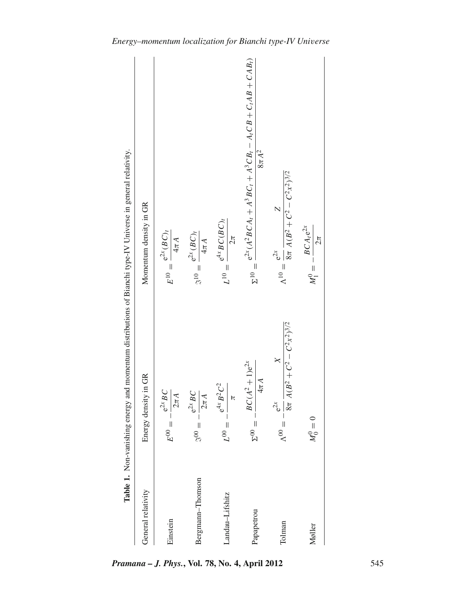|                    | Table 1. Non-vanishing energy and momentum distributions of Bianchi type-IV Universe in general relativity. |                                                                                                 |
|--------------------|-------------------------------------------------------------------------------------------------------------|-------------------------------------------------------------------------------------------------|
| General relativity | Energy density in GR                                                                                        | Momentum density in GR                                                                          |
| Einstein           | $E^{00} = -\frac{e^{2x}BC}{2}$<br>$\frac{2\pi A}{\sqrt{2\pi}}$                                              | $E^{10}=\frac{\mathrm{e}^{2x}(BC)_t}{\sqrt{2}}$<br>$4\pi A$                                     |
| Bergmann-Thomson   | $e^{2x}BC$<br>$2\pi A$<br>$= -\frac{1}{2}$                                                                  | $\mathbbm{S}^{10}=\frac{\mathrm{e}^{2X}(BC)_t}{\,}$<br>$4\pi A$                                 |
| andau-Lifshitz     | $e^{4x} B^2 C^2$<br>ь<br>$L^{00} = -$                                                                       | $L^{10}=\frac{\mathrm{e}^{4x}BC(BC)_t}{\mathrm{e}^{4x}BC(BC)_t}$<br>$2\pi$                      |
| Papapetrou         | $BC(A^2 + 1)e^{2x}$<br>$4\pi$ A<br>$\Sigma^{00} =$                                                          | $e^{2x}(A^2BCA_1 + A^3BC_1 + A^3CB_1 - A_1CB + C_1AB + CAB_1)$<br>$8\pi A^2$<br>$\Sigma^{10} =$ |
| Tolman             | $8\pi A(B^2 + C^2 - C^2x^2)^{3/2}$<br>$\times$<br>$e^{2x}$<br>$-\, =\, \alpha_0 V$                          | $\Lambda^{10} = \frac{e^{2x}}{8\pi A(B^2 + C^2 - C^2x^2)^{3/2}}$                                |
| Møller             | $M_0^0=0$                                                                                                   | $BCA_{t}e^{2x}$<br>$2\pi$<br>$M_1^0 = -1$                                                       |
|                    |                                                                                                             |                                                                                                 |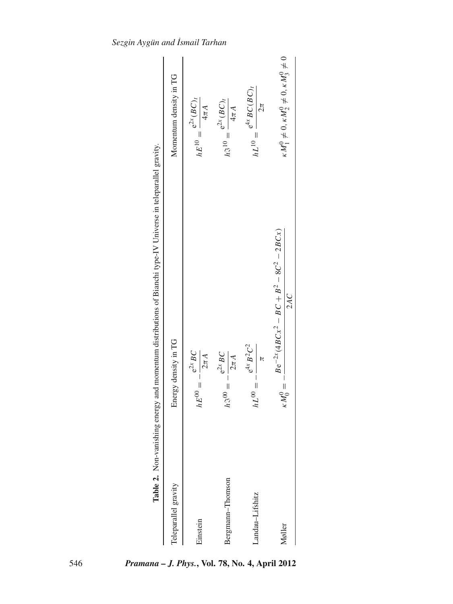|                      | Table 2. Non-vanishing energy and momentum distributions of Bianchi type-IV Universe in teleparallel gravity. |                                                                 |
|----------------------|---------------------------------------------------------------------------------------------------------------|-----------------------------------------------------------------|
| Teleparallel gravity | Energy density in TG                                                                                          | Momentum density in TG                                          |
| Einstein             | $-\frac{e^{2x}BC}{2\pi A}$<br>$hE^{00} = -$                                                                   | $hE^{10} = \frac{e^{2x} (BC)_t}{4\pi A}$                        |
| Bergmann-Thomson     | $e^{2x} BC$<br>$\frac{2\pi A}{\sqrt{2\pi A}}$<br>$h3^{00} = -$                                                | $h3^{10} = \frac{e^{2x} (BC)_t}{4\pi A}$                        |
| Landau-Lifshitz      | $e^{4x} B^2 C^2$<br>$- = 0.79$                                                                                | $hL^{10} = \frac{e^{4x}BC(BC)}{h}$<br>$2\pi$                    |
| Møller               | $Be^{-2x}(4BCx^2 - BC + B^2 - 8C^2 - 2BCx)$<br>2AC<br>$\kappa M_0^0 =$                                        | $\kappa M_1^0 \neq 0, \kappa M_2^0 \neq 0, \kappa M_3^0 \neq 0$ |
|                      |                                                                                                               |                                                                 |

*Sezgin Aygün and ˙Ismail Tarhan*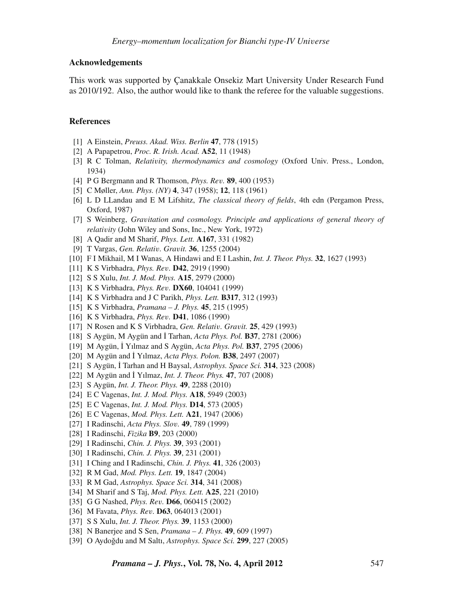### **Acknowledgements**

This work was supported by Çanakkale Onsekiz Mart University Under Research Fund as 2010/192. Also, the author would like to thank the referee for the valuable suggestions.

# **References**

- [1] A Einstein, *Preuss. Akad. Wiss. Berlin* **47**, 778 (1915)
- [2] A Papapetrou, *Proc. R. Irish. Acad.* **A52**, 11 (1948)
- [3] R C Tolman, *Relati*v*ity, thermodynamics and cosmology* (Oxford Univ. Press., London, 1934)
- [4] P G Bergmann and R Thomson, *Phys. Re*v*.* **89**, 400 (1953)
- [5] C Møller, *Ann. Phys. (NY)* **4**, 347 (1958); **12**, 118 (1961)
- [6] L D LLandau and E M Lifshitz, *The classical theory of fields*, 4th edn (Pergamon Press, Oxford, 1987)
- [7] S Weinberg, *Gra*v*itation and cosmology. Principle and applications of general theory of relati*v*ity* (John Wiley and Sons, Inc., New York, 1972)
- [8] A Qadir and M Sharif, *Phys. Lett.* **A167**, 331 (1982)
- [9] T Vargas, *Gen. Relati*v*. Gra*v*it.* **36**, 1255 (2004)
- [10] F I Mikhail, M I Wanas, A Hindawi and E I Lashin, *Int. J. Theor. Phys.* **32**, 1627 (1993)
- [11] K S Virbhadra, *Phys. Re*v*.* **D42**, 2919 (1990)
- [12] S S Xulu, *Int. J. Mod. Phys.* **A15**, 2979 (2000)
- [13] K S Virbhadra, *Phys. Re*v*.* **DX60**, 104041 (1999)
- [14] K S Virbhadra and J C Parikh, *Phys. Lett.* **B317**, 312 (1993)
- [15] K S Virbhadra, *Pramana J. Phys.* **45**, 215 (1995)
- [16] K S Virbhadra, *Phys. Re*v*.* **D41**, 1086 (1990)
- [17] N Rosen and K S Virbhadra, *Gen. Relati*v*. Gra*v*it.* **25**, 429 (1993)
- [18] S Aygün, M Aygün and ˙I Tarhan, *Acta Phys. Pol.* **B37**, 2781 (2006)
- [19] M Aygün, ˙I Yılmaz and S Aygün, *Acta Phys. Pol.* **B37**, 2795 (2006)
- [20] M Aygün and ˙I Yılmaz, *Acta Phys. Polon.* **B38**, 2497 (2007)
- [21] S Aygün, İ Tarhan and H Baysal, *Astrophys. Space Sci.* **314**, 323 (2008)
- [22] M Aygün and ˙I Yılmaz, *Int. J. Theor. Phys.* **47**, 707 (2008)
- [23] S Aygün, *Int. J. Theor. Phys.* **49**, 2288 (2010)
- [24] E C Vagenas, *Int. J. Mod. Phys.* **A18**, 5949 (2003)
- [25] E C Vagenas, *Int. J. Mod. Phys.* **D14**, 573 (2005)
- [26] E C Vagenas, *Mod. Phys. Lett.* **A21**, 1947 (2006)
- [27] I Radinschi, *Acta Phys. Slo*v*.* **49**, 789 (1999)
- [28] I Radinschi, *Fizika* **B9**, 203 (2000)
- [29] I Radinschi, *Chin. J. Phys.* **39**, 393 (2001)
- [30] I Radinschi, *Chin. J. Phys.* **39**, 231 (2001)
- [31] I Ching and I Radinschi, *Chin. J. Phys.* **41**, 326 (2003)
- [32] R M Gad, *Mod. Phys. Lett.* **19**, 1847 (2004)
- [33] R M Gad, *Astrophys. Space Sci.* **314**, 341 (2008)
- [34] M Sharif and S Taj, *Mod. Phys. Lett.* **A25**, 221 (2010)
- [35] G G Nashed, *Phys. Re*v*.* **D66**, 060415 (2002)
- [36] M Favata, *Phys. Re*v*.* **D63**, 064013 (2001)
- [37] S S Xulu, *Int. J. Theor. Phys.* **39**, 1153 (2000)
- [38] N Banerjee and S Sen, *Pramana J. Phys.* **49**, 609 (1997)
- [39] O Aydoğdu and M Saltı, *Astrophys. Space Sci.* **299**, 227 (2005)